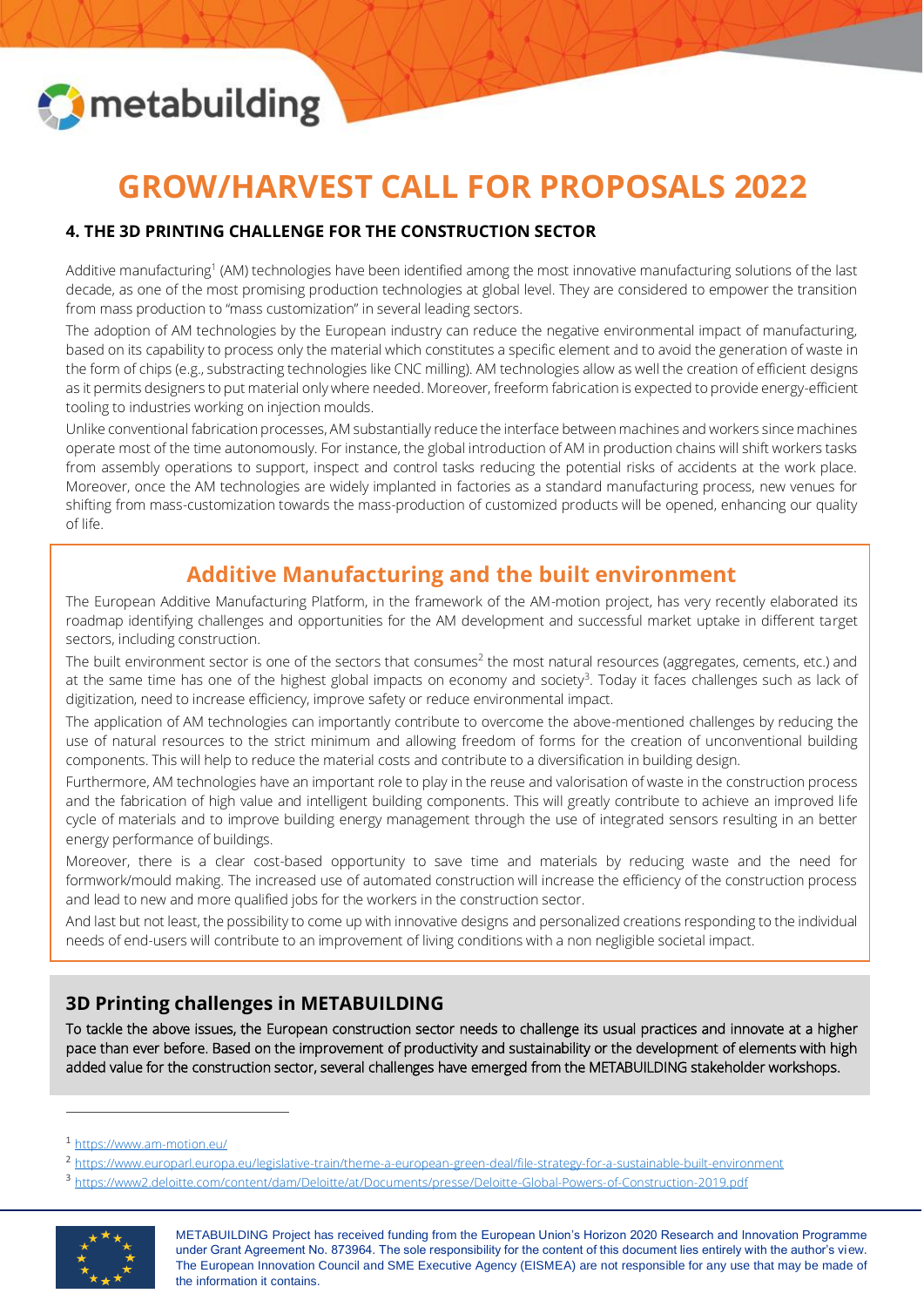

# **GROW/HARVEST CALL FOR PROPOSALS 2022**

## **4. THE 3D PRINTING CHALLENGE FOR THE CONSTRUCTION SECTOR**

Additive manufacturing<sup>1</sup> (AM) technologies have been identified among the most innovative manufacturing solutions of the last decade, as one of the most promising production technologies at global level. They are considered to empower the transition from mass production to "mass customization" in several leading sectors.

The adoption of AM technologies by the European industry can reduce the negative environmental impact of manufacturing, based on its capability to process only the material which constitutes a specific element and to avoid the generation of waste in the form of chips (e.g., substracting technologies like CNC milling). AM technologies allow as well the creation of efficient designs as it permits designers to put material only where needed. Moreover, freeform fabrication is expected to provide energy-efficient tooling to industries working on injection moulds.

Unlike conventional fabrication processes, AM substantially reduce the interface between machines and workers since machines operate most of the time autonomously. For instance, the global introduction of AM in production chains will shift workers tasks from assembly operations to support, inspect and control tasks reducing the potential risks of accidents at the work place. Moreover, once the AM technologies are widely implanted in factories as a standard manufacturing process, new venues for shifting from mass-customization towards the mass-production of customized products will be opened, enhancing our quality of life.

## **Additive Manufacturing and the built environment**

The European Additive Manufacturing Platform, in the framework of the AM-motion project, has very recently elaborated its roadmap identifying challenges and opportunities for the AM development and successful market uptake in different target sectors, including construction.

The built environment sector is one of the sectors that consumes<sup>2</sup> the most natural resources (aggregates, cements, etc.) and at the same time has one of the highest global impacts on economy and society<sup>3</sup>. Today it faces challenges such as lack of digitization, need to increase efficiency, improve safety or reduce environmental impact.

The application of AM technologies can importantly contribute to overcome the above-mentioned challenges by reducing the use of natural resources to the strict minimum and allowing freedom of forms for the creation of unconventional building components. This will help to reduce the material costs and contribute to a diversification in building design.

Furthermore, AM technologies have an important role to play in the reuse and valorisation of waste in the construction process and the fabrication of high value and intelligent building components. This will greatly contribute to achieve an improved life cycle of materials and to improve building energy management through the use of integrated sensors resulting in an better energy performance of buildings.

Moreover, there is a clear cost-based opportunity to save time and materials by reducing waste and the need for formwork/mould making. The increased use of automated construction will increase the efficiency of the construction process and lead to new and more qualified jobs for the workers in the construction sector.

And last but not least, the possibility to come up with innovative designs and personalized creations responding to the individual needs of end-users will contribute to an improvement of living conditions with a non negligible societal impact.

## **3D Printing challenges in METABUILDING**

To tackle the above issues, the European construction sector needs to challenge its usual practices and innovate at a higher pace than ever before. Based on the improvement of productivity and sustainability or the development of elements with high added value for the construction sector, several challenges have emerged from the METABUILDING stakeholder workshops.

<sup>3</sup> <https://www2.deloitte.com/content/dam/Deloitte/at/Documents/presse/Deloitte-Global-Powers-of-Construction-2019.pdf>



METABUILDING Project has received funding from the European Union's Horizon 2020 Research and Innovation Programme under Grant Agreement No. 873964. The sole responsibility for the content of this document lies entirely with the author's view. The European Innovation Council and SME Executive Agency (EISMEA) are not responsible for any use that may be made of the information it contains.

<sup>1</sup> <https://www.am-motion.eu/>

<sup>2</sup> <https://www.europarl.europa.eu/legislative-train/theme-a-european-green-deal/file-strategy-for-a-sustainable-built-environment>